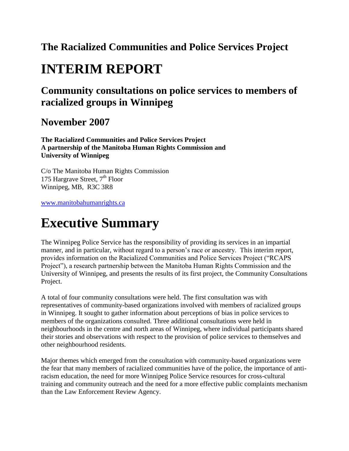### **The Racialized Communities and Police Services Project**

# **INTERIM REPORT**

### **Community consultations on police services to members of racialized groups in Winnipeg**

### **November 2007**

**The Racialized Communities and Police Services Project A partnership of the Manitoba Human Rights Commission and University of Winnipeg** 

C/o The Manitoba Human Rights Commission 175 Hargrave Street,  $7<sup>th</sup>$  Floor Winnipeg, MB, R3C 3R8

[www.manitobahumanrights.ca](https://www.manitobahumanrights.ca/)

# **Executive Summary**

The Winnipeg Police Service has the responsibility of providing its services in an impartial manner, and in particular, without regard to a person's race or ancestry. This interim report, provides information on the Racialized Communities and Police Services Project ("RCAPS Project"), a research partnership between the Manitoba Human Rights Commission and the University of Winnipeg, and presents the results of its first project, the Community Consultations Project.

A total of four community consultations were held. The first consultation was with representatives of community-based organizations involved with members of racialized groups in Winnipeg. It sought to gather information about perceptions of bias in police services to members of the organizations consulted. Three additional consultations were held in neighbourhoods in the centre and north areas of Winnipeg, where individual participants shared their stories and observations with respect to the provision of police services to themselves and other neighbourhood residents.

Major themes which emerged from the consultation with community-based organizations were the fear that many members of racialized communities have of the police, the importance of antiracism education, the need for more Winnipeg Police Service resources for cross-cultural training and community outreach and the need for a more effective public complaints mechanism than the Law Enforcement Review Agency.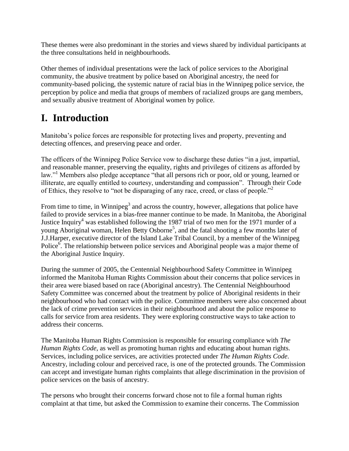These themes were also predominant in the stories and views shared by individual participants at the three consultations held in neighbourhoods.

Other themes of individual presentations were the lack of police services to the Aboriginal community, the abusive treatment by police based on Aboriginal ancestry, the need for community-based policing, the systemic nature of racial bias in the Winnipeg police service, the perception by police and media that groups of members of racialized groups are gang members, and sexually abusive treatment of Aboriginal women by police.

# **I. Introduction**

Manitoba's police forces are responsible for protecting lives and property, preventing and detecting offences, and preserving peace and order.

The officers of the Winnipeg Police Service vow to discharge these duties "in a just, impartial, and reasonable manner, preserving the equality, rights and privileges of citizens as afforded by law."<sup>1</sup> Members also pledge acceptance "that all persons rich or poor, old or young, learned or illiterate, are equally entitled to courtesy, understanding and compassion". Through their Code of Ethics, they resolve to "not be disparaging of any race, creed, or class of people."

From time to time, in Winnipeg<sup>3</sup> and across the country, however, allegations that police have failed to provide services in a bias-free manner continue to be made. In Manitoba, the Aboriginal Justice Inquiry<sup>4</sup> was established following the 1987 trial of two men for the 1971 murder of a young Aboriginal woman, Helen Betty Osborne<sup>5</sup>, and the fatal shooting a few months later of J.J.Harper, executive director of the Island Lake Tribal Council, by a member of the Winnipeg Police<sup>6</sup>. The relationship between police services and Aboriginal people was a major theme of the Aboriginal Justice Inquiry.

During the summer of 2005, the Centennial Neighbourhood Safety Committee in Winnipeg informed the Manitoba Human Rights Commission about their concerns that police services in their area were biased based on race (Aboriginal ancestry). The Centennial Neighbourhood Safety Committee was concerned about the treatment by police of Aboriginal residents in their neighbourhood who had contact with the police. Committee members were also concerned about the lack of crime prevention services in their neighbourhood and about the police response to calls for service from area residents. They were exploring constructive ways to take action to address their concerns.

The Manitoba Human Rights Commission is responsible for ensuring compliance with *The Human Rights Code*, as well as promoting human rights and educating about human rights. Services, including police services, are activities protected under *The Human Rights Code*. Ancestry, including colour and perceived race, is one of the protected grounds. The Commission can accept and investigate human rights complaints that allege discrimination in the provision of police services on the basis of ancestry.

The persons who brought their concerns forward chose not to file a formal human rights complaint at that time, but asked the Commission to examine their concerns. The Commission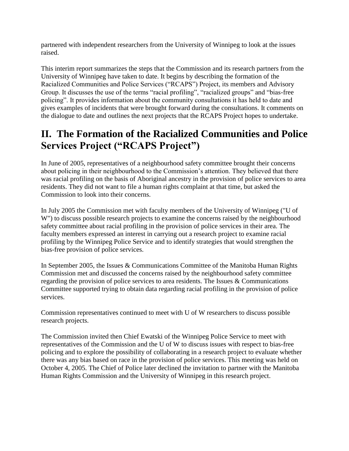partnered with independent researchers from the University of Winnipeg to look at the issues raised.

This interim report summarizes the steps that the Commission and its research partners from the University of Winnipeg have taken to date. It begins by describing the formation of the Racialized Communities and Police Services ("RCAPS") Project, its members and Advisory Group. It discusses the use of the terms "racial profiling", "racialized groups" and "bias-free policing". It provides information about the community consultations it has held to date and gives examples of incidents that were brought forward during the consultations. It comments on the dialogue to date and outlines the next projects that the RCAPS Project hopes to undertake.

## **II. The Formation of the Racialized Communities and Police Services Project ("RCAPS Project")**

In June of 2005, representatives of a neighbourhood safety committee brought their concerns about policing in their neighbourhood to the Commission's attention. They believed that there was racial profiling on the basis of Aboriginal ancestry in the provision of police services to area residents. They did not want to file a human rights complaint at that time, but asked the Commission to look into their concerns.

In July 2005 the Commission met with faculty members of the University of Winnipeg ("U of W") to discuss possible research projects to examine the concerns raised by the neighbourhood safety committee about racial profiling in the provision of police services in their area. The faculty members expressed an interest in carrying out a research project to examine racial profiling by the Winnipeg Police Service and to identify strategies that would strengthen the bias-free provision of police services.

In September 2005, the Issues & Communications Committee of the Manitoba Human Rights Commission met and discussed the concerns raised by the neighbourhood safety committee regarding the provision of police services to area residents. The Issues & Communications Committee supported trying to obtain data regarding racial profiling in the provision of police services.

Commission representatives continued to meet with U of W researchers to discuss possible research projects.

The Commission invited then Chief Ewatski of the Winnipeg Police Service to meet with representatives of the Commission and the U of W to discuss issues with respect to bias-free policing and to explore the possibility of collaborating in a research project to evaluate whether there was any bias based on race in the provision of police services. This meeting was held on October 4, 2005. The Chief of Police later declined the invitation to partner with the Manitoba Human Rights Commission and the University of Winnipeg in this research project.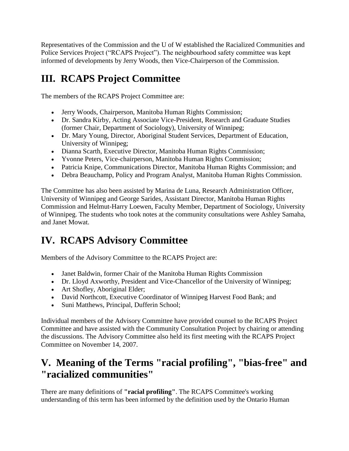Representatives of the Commission and the U of W established the Racialized Communities and Police Services Project ("RCAPS Project"). The neighbourhood safety committee was kept informed of developments by Jerry Woods, then Vice-Chairperson of the Commission.

# **III. RCAPS Project Committee**

The members of the RCAPS Project Committee are:

- Jerry Woods, Chairperson, Manitoba Human Rights Commission;
- Dr. Sandra Kirby, Acting Associate Vice-President, Research and Graduate Studies (former Chair, Department of Sociology), University of Winnipeg;
- Dr. Mary Young, Director, Aboriginal Student Services, Department of Education, University of Winnipeg;
- Dianna Scarth, Executive Director, Manitoba Human Rights Commission;
- Yvonne Peters, Vice-chairperson, Manitoba Human Rights Commission;
- Patricia Knipe, Communications Director, Manitoba Human Rights Commission; and
- Debra Beauchamp, Policy and Program Analyst, Manitoba Human Rights Commission.

The Committee has also been assisted by Marina de Luna, Research Administration Officer, University of Winnipeg and George Sarides, Assistant Director, Manitoba Human Rights Commission and Helmut-Harry Loewen, Faculty Member, Department of Sociology, University of Winnipeg. The students who took notes at the community consultations were Ashley Samaha, and Janet Mowat.

## **IV. RCAPS Advisory Committee**

Members of the Advisory Committee to the RCAPS Project are:

- Janet Baldwin, former Chair of the Manitoba Human Rights Commission
- Dr. Lloyd Axworthy, President and Vice-Chancellor of the University of Winnipeg;
- Art Shofley, Aboriginal Elder;
- David Northcott, Executive Coordinator of Winnipeg Harvest Food Bank; and
- Suni Matthews, Principal, Dufferin School;

Individual members of the Advisory Committee have provided counsel to the RCAPS Project Committee and have assisted with the Community Consultation Project by chairing or attending the discussions. The Advisory Committee also held its first meeting with the RCAPS Project Committee on November 14, 2007.

### **V. Meaning of the Terms "racial profiling", "bias-free" and "racialized communities"**

There are many definitions of **"racial profiling"**. The RCAPS Committee's working understanding of this term has been informed by the definition used by the Ontario Human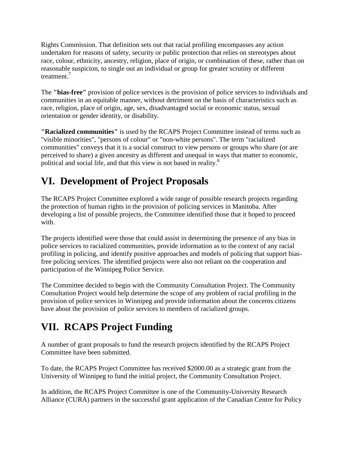Rights Commission. That definition sets out that racial profiling encompasses any action undertaken for reasons of safety, security or public protection that relies on stereotypes about race, colour, ethnicity, ancestry, religion, place of origin, or combination of these, rather than on reasonable suspicion, to single out an individual or group for greater scrutiny or different treatment.<sup>7</sup>

The **"bias-free"** provision of police services is the provision of police services to individuals and communities in an equitable manner, without detriment on the basis of characteristics such as race, religion, place of origin, age, sex, disadvantaged social or economic status, sexual orientation or gender identity, or disability.

**"Racialized communities"** is used by the RCAPS Project Committee instead of terms such as "visible minorities", "persons of colour" or "non-white persons". The term "racialized communities" conveys that it is a social construct to view persons or groups who share (or are perceived to share) a given ancestry as different and unequal in ways that matter to economic, political and social life, and that this view is not based in reality.<sup>8</sup>

# **VI. Development of Project Proposals**

The RCAPS Project Committee explored a wide range of possible research projects regarding the protection of human rights in the provision of policing services in Manitoba. After developing a list of possible projects, the Committee identified those that it hoped to proceed with.

The projects identified were those that could assist in determining the presence of any bias in police services to racialized communities, provide information as to the context of any racial profiling in policing, and identify positive approaches and models of policing that support biasfree policing services. The identified projects were also not reliant on the cooperation and participation of the Winnipeg Police Service.

The Committee decided to begin with the Community Consultation Project. The Community Consultation Project would help determine the scope of any problem of racial profiling in the provision of police services in Winnipeg and provide information about the concerns citizens have about the provision of police services to members of racialized groups.

# **VII. RCAPS Project Funding**

A number of grant proposals to fund the research projects identified by the RCAPS Project Committee have been submitted.

To date, the RCAPS Project Committee has received \$2000.00 as a strategic grant from the University of Winnipeg to fund the initial project, the Community Consultation Project.

In addition, the RCAPS Project Committee is one of the Community-University Research Alliance (CURA) partners in the successful grant application of the Canadian Centre for Policy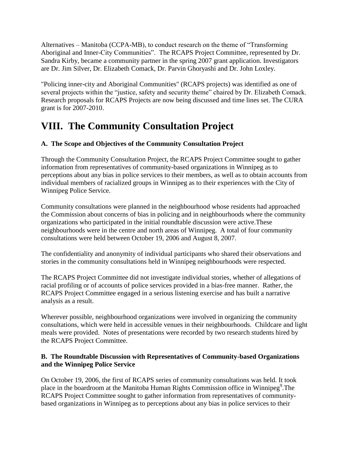Alternatives – Manitoba (CCPA-MB), to conduct research on the theme of "Transforming Aboriginal and Inner-City Communities". The RCAPS Project Committee, represented by Dr. Sandra Kirby, became a community partner in the spring 2007 grant application. Investigators are Dr. Jim Silver, Dr. Elizabeth Comack, Dr. Parvin Ghoryashi and Dr. John Loxley.

"Policing inner-city and Aboriginal Communities" (RCAPS projects) was identified as one of several projects within the "justice, safety and security theme" chaired by Dr. Elizabeth Comack. Research proposals for RCAPS Projects are now being discussed and time lines set. The CURA grant is for 2007-2010.

## **VIII. The Community Consultation Project**

#### **A. The Scope and Objectives of the Community Consultation Project**

Through the Community Consultation Project, the RCAPS Project Committee sought to gather information from representatives of community-based organizations in Winnipeg as to perceptions about any bias in police services to their members, as well as to obtain accounts from individual members of racialized groups in Winnipeg as to their experiences with the City of Winnipeg Police Service.

Community consultations were planned in the neighbourhood whose residents had approached the Commission about concerns of bias in policing and in neighbourhoods where the community organizations who participated in the initial roundtable discussion were active.These neighbourhoods were in the centre and north areas of Winnipeg. A total of four community consultations were held between October 19, 2006 and August 8, 2007.

The confidentiality and anonymity of individual participants who shared their observations and stories in the community consultations held in Winnipeg neighbourhoods were respected.

The RCAPS Project Committee did not investigate individual stories, whether of allegations of racial profiling or of accounts of police services provided in a bias-free manner. Rather, the RCAPS Project Committee engaged in a serious listening exercise and has built a narrative analysis as a result.

Wherever possible, neighbourhood organizations were involved in organizing the community consultations, which were held in accessible venues in their neighbourhoods. Childcare and light meals were provided. Notes of presentations were recorded by two research students hired by the RCAPS Project Committee.

#### **B. The Roundtable Discussion with Representatives of Community-based Organizations and the Winnipeg Police Service**

On October 19, 2006, the first of RCAPS series of community consultations was held. It took place in the boardroom at the Manitoba Human Rights Commission office in Winnipeg<sup>9</sup>. The RCAPS Project Committee sought to gather information from representatives of communitybased organizations in Winnipeg as to perceptions about any bias in police services to their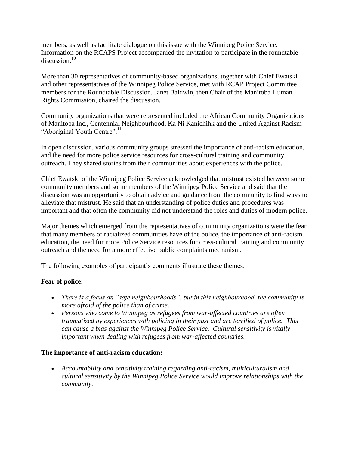members, as well as facilitate dialogue on this issue with the Winnipeg Police Service. Information on the RCAPS Project accompanied the invitation to participate in the roundtable discussion.<sup>10</sup>

More than 30 representatives of community-based organizations, together with Chief Ewatski and other representatives of the Winnipeg Police Service, met with RCAP Project Committee members for the Roundtable Discussion. Janet Baldwin, then Chair of the Manitoba Human Rights Commission, chaired the discussion.

Community organizations that were represented included the African Community Organizations of Manitoba Inc., Centennial Neighbourhood, Ka Ni Kanichihk and the United Against Racism "Aboriginal Youth Centre".<sup>11</sup>

In open discussion, various community groups stressed the importance of anti-racism education, and the need for more police service resources for cross-cultural training and community outreach. They shared stories from their communities about experiences with the police.

Chief Ewatski of the Winnipeg Police Service acknowledged that mistrust existed between some community members and some members of the Winnipeg Police Service and said that the discussion was an opportunity to obtain advice and guidance from the community to find ways to alleviate that mistrust. He said that an understanding of police duties and procedures was important and that often the community did not understand the roles and duties of modern police.

Major themes which emerged from the representatives of community organizations were the fear that many members of racialized communities have of the police, the importance of anti-racism education, the need for more Police Service resources for cross-cultural training and community outreach and the need for a more effective public complaints mechanism.

The following examples of participant's comments illustrate these themes.

#### **Fear of police**:

- *There is a focus on "safe neighbourhoods", but in this neighbourhood, the community is more afraid of the police than of crime.*
- *Persons who come to Winnipeg as refugees from war-affected countries are often traumatized by experiences with policing in their past and are terrified of police. This can cause a bias against the Winnipeg Police Service. Cultural sensitivity is vitally important when dealing with refugees from war-affected countries.*

#### **The importance of anti-racism education:**

 *Accountability and sensitivity training regarding anti-racism, multiculturalism and cultural sensitivity by the Winnipeg Police Service would improve relationships with the community.*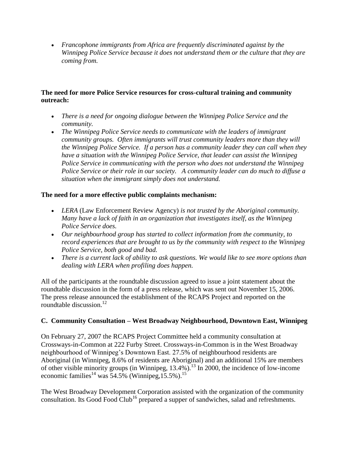*Francophone immigrants from Africa are frequently discriminated against by the Winnipeg Police Service because it does not understand them or the culture that they are coming from.* 

#### **The need for more Police Service resources for cross-cultural training and community outreach:**

- *There is a need for ongoing dialogue between the Winnipeg Police Service and the community.*
- *The Winnipeg Police Service needs to communicate with the leaders of immigrant community groups. Often immigrants will trust community leaders more than they will the Winnipeg Police Service. If a person has a community leader they can call when they have a situation with the Winnipeg Police Service, that leader can assist the Winnipeg Police Service in communicating with the person who does not understand the Winnipeg Police Service or their role in our society. A community leader can do much to diffuse a situation when the immigrant simply does not understand.*

#### **The need for a more effective public complaints mechanism:**

- *LERA* (Law Enforcement Review Agency) *is not trusted by the Aboriginal community. Many have a lack of faith in an organization that investigates itself, as the Winnipeg Police Service does.*
- *Our neighbourhood group has started to collect information from the community, to record experiences that are brought to us by the community with respect to the Winnipeg Police Service, both good and bad.*
- *There is a current lack of ability to ask questions. We would like to see more options than dealing with LERA when profiling does happen.*

All of the participants at the roundtable discussion agreed to issue a joint statement about the roundtable discussion in the form of a press release, which was sent out November 15, 2006. The press release announced the establishment of the RCAPS Project and reported on the roundtable discussion. $^{12}$ 

#### **C. Community Consultation – West Broadway Neighbourhood, Downtown East, Winnipeg**

On February 27, 2007 the RCAPS Project Committee held a community consultation at Crossways-in-Common at 222 Furby Street. Crossways-in-Common is in the West Broadway neighbourhood of Winnipeg's Downtown East. 27.5% of neighbourhood residents are Aboriginal (in Winnipeg, 8.6% of residents are Aboriginal) and an additional 15% are members of other visible minority groups (in Winnipeg, 13.4%).<sup>13</sup> In 2000, the incidence of low-income economic families<sup>14</sup> was  $54.5\%$  (Winnipeg, 15.5%).<sup>15</sup>

The West Broadway Development Corporation assisted with the organization of the community consultation. Its Good Food Club<sup>16</sup> prepared a supper of sandwiches, salad and refreshments.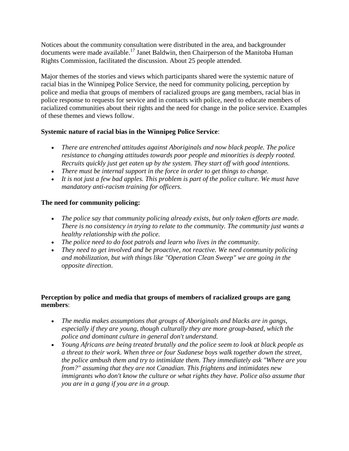Notices about the community consultation were distributed in the area, and backgrounder documents were made available.<sup>17</sup> Janet Baldwin, then Chairperson of the Manitoba Human Rights Commission, facilitated the discussion. About 25 people attended.

Major themes of the stories and views which participants shared were the systemic nature of racial bias in the Winnipeg Police Service, the need for community policing, perception by police and media that groups of members of racialized groups are gang members, racial bias in police response to requests for service and in contacts with police, need to educate members of racialized communities about their rights and the need for change in the police service. Examples of these themes and views follow.

#### **Systemic nature of racial bias in the Winnipeg Police Service**:

- *There are entrenched attitudes against Aboriginals and now black people. The police resistance to changing attitudes towards poor people and minorities is deeply rooted. Recruits quickly just get eaten up by the system. They start off with good intentions.*
- *There must be internal support in the force in order to get things to change.*
- *It is not just a few bad apples. This problem is part of the police culture. We must have mandatory anti-racism training for officers.*

#### **The need for community policing:**

- *The police say that community policing already exists, but only token efforts are made. There is no consistency in trying to relate to the community. The community just wants a healthy relationship with the police.*
- *The police need to do foot patrols and learn who lives in the community.*
- *They need to get involved and be proactive, not reactive. We need community policing and mobilization, but with things like "Operation Clean Sweep" we are going in the opposite direction*.

#### **Perception by police and media that groups of members of racialized groups are gang members**:

- *The media makes assumptions that groups of Aboriginals and blacks are in gangs, especially if they are young, though culturally they are more group-based, which the police and dominant culture in general don't understand.*
- *Young Africans are being treated brutally and the police seem to look at black people as a threat to their work. When three or four Sudanese boys walk together down the street, the police ambush them and try to intimidate them. They immediately ask "Where are you from?" assuming that they are not Canadian. This frightens and intimidates new immigrants who don't know the culture or what rights they have. Police also assume that you are in a gang if you are in a group.*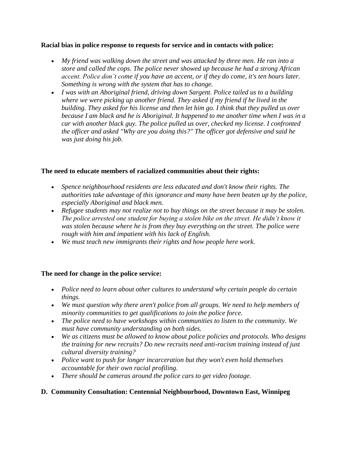#### **Racial bias in police response to requests for service and in contacts with police:**

- *My friend was walking down the street and was attacked by three men. He ran into a store and called the cops. The police never showed up because he had a strong African accent. Police don't come if you have an accent, or if they do come, it's ten hours later. Something is wrong with the system that has to change.*
- *I was with an Aboriginal friend, driving down Sargent. Police tailed us to a building where we were picking up another friend. They asked if my friend if he lived in the building. They asked for his license and then let him go. I think that they pulled us over because I am black and he is Aboriginal. It happened to me another time when I was in a car with another black guy. The police pulled us over, checked my license. I confronted the officer and asked "Why are you doing this?" The officer got defensive and said he was just doing his job.*

#### **The need to educate members of racialized communities about their rights:**

- *Spence neighbourhood residents are less educated and don't know their rights. The authorities take advantage of this ignorance and many have been beaten up by the police, especially Aboriginal and black men.*
- *Refugee students may not realize not to buy things on the street because it may be stolen. The police arrested one student for buying a stolen bike on the street. He didn't know it was stolen because where he is from they buy everything on the street. The police were rough with him and impatient with his lack of English.*
- *We must teach new immigrants their rights and how people here work.*

#### **The need for change in the police service:**

- *Police need to learn about other cultures to understand why certain people do certain things.*
- *We must question why there aren't police from all groups. We need to help members of minority communities to get qualifications to join the police force.*
- *The police need to have workshops within communities to listen to the community. We must have community understanding on both sides.*
- *We as citizens must be allowed to know about police policies and protocols. Who designs the training for new recruits? Do new recruits need anti-racism training instead of just cultural diversity training?*
- *Police want to push for longer incarceration but they won't even hold themselves accountable for their own racial profiling.*
- *There should be cameras around the police cars to get video footage.*

#### **D. Community Consultation: Centennial Neighbourhood, Downtown East, Winnipeg**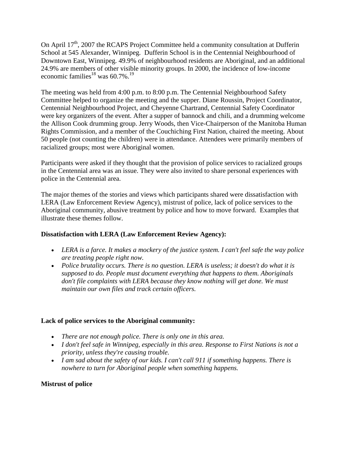On April  $17<sup>th</sup>$ , 2007 the RCAPS Project Committee held a community consultation at Dufferin School at 545 Alexander, Winnipeg. Dufferin School is in the Centennial Neighbourhood of Downtown East, Winnipeg. 49.9% of neighbourhood residents are Aboriginal, and an additional 24.9% are members of other visible minority groups. In 2000, the incidence of low-income economic families<sup>18</sup> was  $60.7\%$ <sup>19</sup>

The meeting was held from 4:00 p.m. to 8:00 p.m. The Centennial Neighbourhood Safety Committee helped to organize the meeting and the supper. Diane Roussin, Project Coordinator, Centennial Neighbourhood Project, and Cheyenne Chartrand, Centennial Safety Coordinator were key organizers of the event. After a supper of bannock and chili, and a drumming welcome the Allison Cook drumming group. Jerry Woods, then Vice-Chairperson of the Manitoba Human Rights Commission, and a member of the Couchiching First Nation, chaired the meeting. About 50 people (not counting the children) were in attendance. Attendees were primarily members of racialized groups; most were Aboriginal women.

Participants were asked if they thought that the provision of police services to racialized groups in the Centennial area was an issue. They were also invited to share personal experiences with police in the Centennial area.

The major themes of the stories and views which participants shared were dissatisfaction with LERA (Law Enforcement Review Agency), mistrust of police, lack of police services to the Aboriginal community, abusive treatment by police and how to move forward. Examples that illustrate these themes follow.

#### **Dissatisfaction with LERA (Law Enforcement Review Agency):**

- *LERA is a farce. It makes a mockery of the justice system. I can't feel safe the way police are treating people right now.*
- *Police brutality occurs. There is no question. LERA is useless; it doesn't do what it is supposed to do. People must document everything that happens to them. Aboriginals don't file complaints with LERA because they know nothing will get done. We must maintain our own files and track certain officers.*

#### **Lack of police services to the Aboriginal community:**

- *There are not enough police. There is only one in this area.*
- *I don't feel safe in Winnipeg, especially in this area. Response to First Nations is not a priority, unless they're causing trouble.*
- *I am sad about the safety of our kids. I can't call 911 if something happens. There is nowhere to turn for Aboriginal people when something happens.*

#### **Mistrust of police**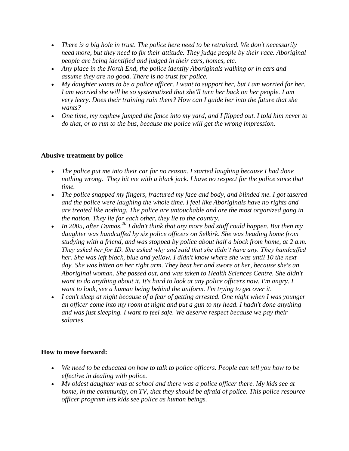- *There is a big hole in trust. The police here need to be retrained. We don't necessarily need more, but they need to fix their attitude. They judge people by their race. Aboriginal people are being identified and judged in their cars, homes, etc.*
- *Any place in the North End, the police identify Aboriginals walking or in cars and assume they are no good. There is no trust for police.*
- *My daughter wants to be a police officer. I want to support her, but I am worried for her. I am worried she will be so systematized that she'll turn her back on her people. I am very leery. Does their training ruin them? How can I guide her into the future that she wants?*
- *One time, my nephew jumped the fence into my yard, and I flipped out. I told him never to do that, or to run to the bus, because the police will get the wrong impression.*

#### **Abusive treatment by police**

- The police put me into their car for no reason. I started laughing because I had done *nothing wrong. They hit me with a black jack. I have no respect for the police since that time.*
- *The police snapped my fingers, fractured my face and body, and blinded me. I got tasered and the police were laughing the whole time. I feel like Aboriginals have no rights and are treated like nothing. The police are untouchable and are the most organized gang in the nation. They lie for each other, they lie to the country.*
- *In 2005, after Dumas,<sup>20</sup> I didn't think that any more bad stuff could happen. But then my daughter was handcuffed by six police officers on Selkirk. She was heading home from studying with a friend, and was stopped by police about half a block from home, at 2 a.m. They asked her for ID. She asked why and said that she didn't have any. They handcuffed her. She was left black, blue and yellow. I didn't know where she was until 10 the next day. She was bitten on her right arm. They beat her and swore at her, because she's an Aboriginal woman. She passed out, and was taken to Health Sciences Centre. She didn't want to do anything about it. It's hard to look at any police officers now. I'm angry. I want to look, see a human being behind the uniform. I'm trying to get over it.*
- *I can't sleep at night because of a fear of getting arrested. One night when I was younger an officer come into my room at night and put a gun to my head. I hadn't done anything and was just sleeping. I want to feel safe. We deserve respect because we pay their salaries.*

#### **How to move forward:**

- *We need to be educated on how to talk to police officers. People can tell you how to be effective in dealing with police.*
- *My oldest daughter was at school and there was a police officer there. My kids see at home, in the community, on TV, that they should be afraid of police. This police resource officer program lets kids see police as human beings.*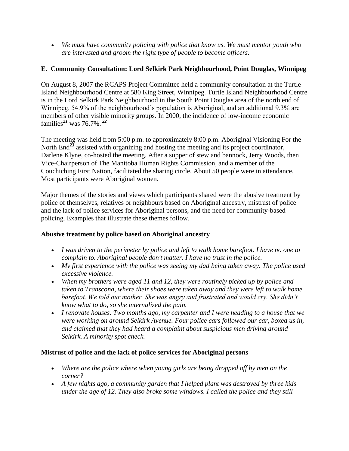*We must have community policing with police that know us. We must mentor youth who are interested and groom the right type of people to become officers.*

#### **E. Community Consultation: Lord Selkirk Park Neighbourhood, Point Douglas, Winnipeg**

On August 8, 2007 the RCAPS Project Committee held a community consultation at the Turtle Island Neighbourhood Centre at 580 King Street, Winnipeg. Turtle Island Neighbourhood Centre is in the Lord Selkirk Park Neighbourhood in the South Point Douglas area of the north end of Winnipeg. 54.9% of the neighbourhood's population is Aboriginal, and an additional 9.3% are members of other visible minority groups. In 2000, the incidence of low-income economic families*<sup>21</sup>* was 76.7%. *<sup>22</sup>*

The meeting was held from 5:00 p.m. to approximately 8:00 p.m. Aboriginal Visioning For the North End<sup>23</sup> assisted with organizing and hosting the meeting and its project coordinator, Darlene Klyne, co-hosted the meeting. After a supper of stew and bannock, Jerry Woods, then Vice-Chairperson of The Manitoba Human Rights Commission, and a member of the Couchiching First Nation, facilitated the sharing circle. About 50 people were in attendance. Most participants were Aboriginal women.

Major themes of the stories and views which participants shared were the abusive treatment by police of themselves, relatives or neighbours based on Aboriginal ancestry, mistrust of police and the lack of police services for Aboriginal persons, and the need for community-based policing. Examples that illustrate these themes follow.

#### **Abusive treatment by police based on Aboriginal ancestry**

- *I was driven to the perimeter by police and left to walk home barefoot. I have no one to complain to. Aboriginal people don't matter. I have no trust in the police.*
- *My first experience with the police was seeing my dad being taken away. The police used excessive violence.*
- *When my brothers were aged 11 and 12, they were routinely picked up by police and taken to Transcona, where their shoes were taken away and they were left to walk home barefoot. We told our mother. She was angry and frustrated and would cry. She didn't know what to do, so she internalized the pain.*
- *I renovate houses. Two months ago, my carpenter and I were heading to a house that we were working on around Selkirk Avenue. Four police cars followed our car, boxed us in, and claimed that they had heard a complaint about suspicious men driving around Selkirk. A minority spot check.*

#### **Mistrust of police and the lack of police services for Aboriginal persons**

- *Where are the police where when young girls are being dropped off by men on the corner?*
- *A few nights ago, a community garden that I helped plant was destroyed by three kids under the age of 12. They also broke some windows. I called the police and they still*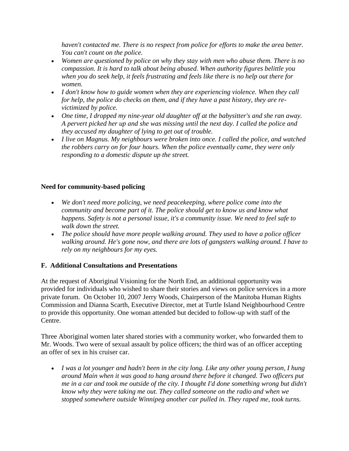*haven't contacted me. There is no respect from police for efforts to make the area better. You can't count on the police.*

- *Women are questioned by police on why they stay with men who abuse them. There is no compassion. It is hard to talk about being abused. When authority figures belittle you when you do seek help, it feels frustrating and feels like there is no help out there for women.*
- *I don't know how to guide women when they are experiencing violence. When they call for help, the police do checks on them, and if they have a past history, they are revictimized by police.*
- *One time, I dropped my nine-year old daughter off at the babysitter's and she ran away. A pervert picked her up and she was missing until the next day. I called the police and they accused my daughter of lying to get out of trouble.*
- *I live on Magnus. My neighbours were broken into once. I called the police, and watched the robbers carry on for four hours. When the police eventually came, they were only responding to a domestic dispute up the street.*

#### **Need for community-based policing**

- *We don't need more policing, we need peacekeeping, where police come into the community and become part of it. The police should get to know us and know what happens. Safety is not a personal issue, it's a community issue. We need to feel safe to walk down the street.*
- *The police should have more people walking around. They used to have a police officer walking around. He's gone now, and there are lots of gangsters walking around. I have to rely on my neighbours for my eyes.*

#### **F. Additional Consultations and Presentations**

At the request of Aboriginal Visioning for the North End, an additional opportunity was provided for individuals who wished to share their stories and views on police services in a more private forum. On October 10, 2007 Jerry Woods, Chairperson of the Manitoba Human Rights Commission and Dianna Scarth, Executive Director, met at Turtle Island Neighbourhood Centre to provide this opportunity. One woman attended but decided to follow-up with staff of the Centre.

Three Aboriginal women later shared stories with a community worker, who forwarded them to Mr. Woods. Two were of sexual assault by police officers; the third was of an officer accepting an offer of sex in his cruiser car.

 *I was a lot younger and hadn't been in the city long. Like any other young person, I hung around Main when it was good to hang around there before it changed. Two officers put me in a car and took me outside of the city. I thought I'd done something wrong but didn't know why they were taking me out. They called someone on the radio and when we stopped somewhere outside Winnipeg another car pulled in. They raped me, took turns.*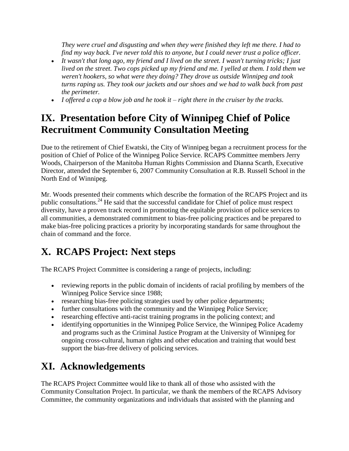*They were cruel and disgusting and when they were finished they left me there. I had to find my way back. I've never told this to anyone, but I could never trust a police officer.*

- *It wasn't that long ago, my friend and I lived on the street. I wasn't turning tricks; I just lived on the street. Two cops picked up my friend and me. I yelled at them. I told them we weren't hookers, so what were they doing? They drove us outside Winnipeg and took turns raping us. They took our jackets and our shoes and we had to walk back from past the perimeter.*
- *I offered a cop a blow job and he took it – right there in the cruiser by the tracks.*

# **IX. Presentation before City of Winnipeg Chief of Police Recruitment Community Consultation Meeting**

Due to the retirement of Chief Ewatski, the City of Winnipeg began a recruitment process for the position of Chief of Police of the Winnipeg Police Service. RCAPS Committee members Jerry Woods, Chairperson of the Manitoba Human Rights Commission and Dianna Scarth, Executive Director, attended the September 6, 2007 Community Consultation at R.B. Russell School in the North End of Winnipeg.

Mr. Woods presented their comments which describe the formation of the RCAPS Project and its public consultations.<sup>24</sup> He said that the successful candidate for Chief of police must respect diversity, have a proven track record in promoting the equitable provision of police services to all communities, a demonstrated commitment to bias-free policing practices and be prepared to make bias-free policing practices a priority by incorporating standards for same throughout the chain of command and the force.

# **X. RCAPS Project: Next steps**

The RCAPS Project Committee is considering a range of projects, including:

- reviewing reports in the public domain of incidents of racial profiling by members of the Winnipeg Police Service since 1988;
- researching bias-free policing strategies used by other police departments;
- further consultations with the community and the Winnipeg Police Service;
- researching effective anti-racist training programs in the policing context; and
- identifying opportunities in the Winnipeg Police Service, the Winnipeg Police Academy and programs such as the Criminal Justice Program at the University of Winnipeg for ongoing cross-cultural, human rights and other education and training that would best support the bias-free delivery of policing services.

# **XI. Acknowledgements**

The RCAPS Project Committee would like to thank all of those who assisted with the Community Consultation Project. In particular, we thank the members of the RCAPS Advisory Committee, the community organizations and individuals that assisted with the planning and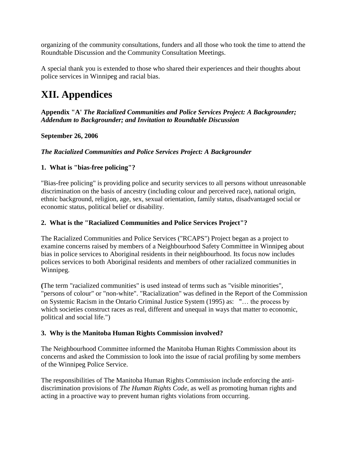organizing of the community consultations, funders and all those who took the time to attend the Roundtable Discussion and the Community Consultation Meetings.

A special thank you is extended to those who shared their experiences and their thoughts about police services in Winnipeg and racial bias.

### **XII. Appendices**

**Appendix "A'** *The Racialized Communities and Police Services Project: A Backgrounder; Addendum to Backgrounder; and Invitation to Roundtable Discussion*

#### **September 26, 2006**

#### *The Racialized Communities and Police Services Project: A Backgrounder*

#### **1. What is "bias-free policing"?**

"Bias-free policing" is providing police and security services to all persons without unreasonable discrimination on the basis of ancestry (including colour and perceived race), national origin, ethnic background, religion, age, sex, sexual orientation, family status, disadvantaged social or economic status, political belief or disability.

#### **2. What is the "Racialized Communities and Police Services Project"?**

The Racialized Communities and Police Services ("RCAPS") Project began as a project to examine concerns raised by members of a Neighbourhood Safety Committee in Winnipeg about bias in police services to Aboriginal residents in their neighbourhood. Its focus now includes polices services to both Aboriginal residents and members of other racialized communities in Winnipeg.

**(**The term "racialized communities" is used instead of terms such as "visible minorities", "persons of colour" or "non-white". "Racialization" was defined in the Report of the Commission on Systemic Racism in the Ontario Criminal Justice System (1995) as: "… the process by which societies construct races as real, different and unequal in ways that matter to economic, political and social life.")

#### **3. Why is the Manitoba Human Rights Commission involved?**

The Neighbourhood Committee informed the Manitoba Human Rights Commission about its concerns and asked the Commission to look into the issue of racial profiling by some members of the Winnipeg Police Service.

The responsibilities of The Manitoba Human Rights Commission include enforcing the antidiscrimination provisions of *The Human Rights Code*, as well as promoting human rights and acting in a proactive way to prevent human rights violations from occurring.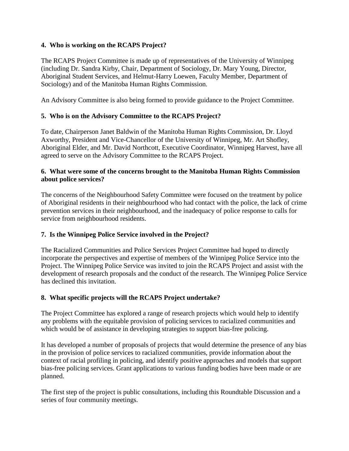#### **4. Who is working on the RCAPS Project?**

The RCAPS Project Committee is made up of representatives of the University of Winnipeg (including Dr. Sandra Kirby, Chair, Department of Sociology, Dr. Mary Young, Director, Aboriginal Student Services, and Helmut-Harry Loewen, Faculty Member, Department of Sociology) and of the Manitoba Human Rights Commission.

An Advisory Committee is also being formed to provide guidance to the Project Committee.

#### **5. Who is on the Advisory Committee to the RCAPS Project?**

To date, Chairperson Janet Baldwin of the Manitoba Human Rights Commission, Dr. Lloyd Axworthy, President and Vice-Chancellor of the University of Winnipeg, Mr. Art Shofley, Aboriginal Elder, and Mr. David Northcott, Executive Coordinator, Winnipeg Harvest, have all agreed to serve on the Advisory Committee to the RCAPS Project.

#### **6. What were some of the concerns brought to the Manitoba Human Rights Commission about police services?**

The concerns of the Neighbourhood Safety Committee were focused on the treatment by police of Aboriginal residents in their neighbourhood who had contact with the police, the lack of crime prevention services in their neighbourhood, and the inadequacy of police response to calls for service from neighbourhood residents.

#### **7. Is the Winnipeg Police Service involved in the Project?**

The Racialized Communities and Police Services Project Committee had hoped to directly incorporate the perspectives and expertise of members of the Winnipeg Police Service into the Project. The Winnipeg Police Service was invited to join the RCAPS Project and assist with the development of research proposals and the conduct of the research. The Winnipeg Police Service has declined this invitation.

#### **8. What specific projects will the RCAPS Project undertake?**

The Project Committee has explored a range of research projects which would help to identify any problems with the equitable provision of policing services to racialized communities and which would be of assistance in developing strategies to support bias-free policing.

It has developed a number of proposals of projects that would determine the presence of any bias in the provision of police services to racialized communities, provide information about the context of racial profiling in policing, and identify positive approaches and models that support bias-free policing services. Grant applications to various funding bodies have been made or are planned.

The first step of the project is public consultations, including this Roundtable Discussion and a series of four community meetings.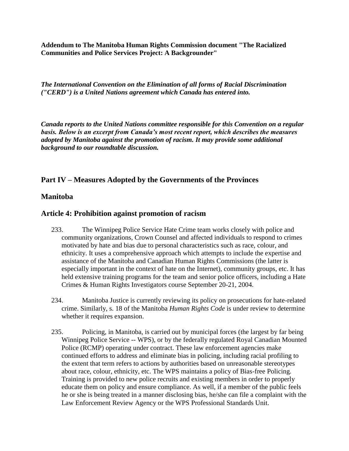**Addendum to The Manitoba Human Rights Commission document "The Racialized Communities and Police Services Project: A Backgrounder"**

*The International Convention on the Elimination of all forms of Racial Discrimination ("CERD") is a United Nations agreement which Canada has entered into.*

*Canada reports to the United Nations committee responsible for this Convention on a regular basis. Below is an excerpt from Canada's most recent report, which describes the measures adopted by Manitoba against the promotion of racism. It may provide some additional background to our roundtable discussion.*

#### **Part IV – Measures Adopted by the Governments of the Provinces**

#### **Manitoba**

#### **Article 4: Prohibition against promotion of racism**

- 233. The Winnipeg Police Service Hate Crime team works closely with police and community organizations, Crown Counsel and affected individuals to respond to crimes motivated by hate and bias due to personal characteristics such as race, colour, and ethnicity. It uses a comprehensive approach which attempts to include the expertise and assistance of the Manitoba and Canadian Human Rights Commissions (the latter is especially important in the context of hate on the Internet), community groups, etc. It has held extensive training programs for the team and senior police officers, including a Hate Crimes & Human Rights Investigators course September 20-21, 2004.
- 234. Manitoba Justice is currently reviewing its policy on prosecutions for hate-related crime. Similarly, s. 18 of the Manitoba *Human Rights Code* is under review to determine whether it requires expansion.
- 235. Policing, in Manitoba, is carried out by municipal forces (the largest by far being Winnipeg Police Service -- WPS), or by the federally regulated Royal Canadian Mounted Police (RCMP) operating under contract. These law enforcement agencies make continued efforts to address and eliminate bias in policing, including racial profiling to the extent that term refers to actions by authorities based on unreasonable stereotypes about race, colour, ethnicity, etc. The WPS maintains a policy of Bias-free Policing. Training is provided to new police recruits and existing members in order to properly educate them on policy and ensure compliance. As well, if a member of the public feels he or she is being treated in a manner disclosing bias, he/she can file a complaint with the Law Enforcement Review Agency or the WPS Professional Standards Unit.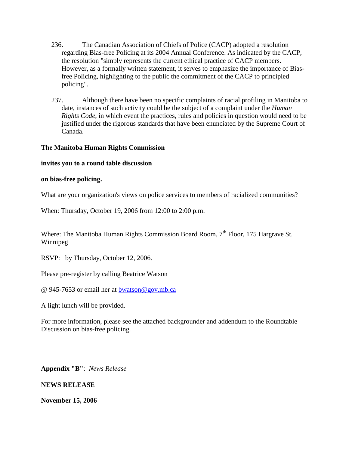- 236. The Canadian Association of Chiefs of Police (CACP) adopted a resolution regarding Bias-free Policing at its 2004 Annual Conference. As indicated by the CACP, the resolution "simply represents the current ethical practice of CACP members. However, as a formally written statement, it serves to emphasize the importance of Biasfree Policing, highlighting to the public the commitment of the CACP to principled policing".
- 237. Although there have been no specific complaints of racial profiling in Manitoba to date, instances of such activity could be the subject of a complaint under the *Human Rights Code*, in which event the practices, rules and policies in question would need to be justified under the rigorous standards that have been enunciated by the Supreme Court of Canada.

#### **The Manitoba Human Rights Commission**

#### **invites you to a round table discussion**

#### **on bias-free policing.**

What are your organization's views on police services to members of racialized communities?

When: Thursday, October 19, 2006 from 12:00 to 2:00 p.m.

Where: The Manitoba Human Rights Commission Board Room,  $7<sup>th</sup>$  Floor, 175 Hargrave St. Winnipeg

RSVP: by Thursday, October 12, 2006.

Please pre-register by calling Beatrice Watson

@ 945-7653 or email her at [bwatson@gov.mb.ca](mailto:bwatson@gov.mb.ca)

A light lunch will be provided.

For more information, please see the attached backgrounder and addendum to the Roundtable Discussion on bias-free policing.

**Appendix "B"**: *News Release*

**NEWS RELEASE**

**November 15, 2006**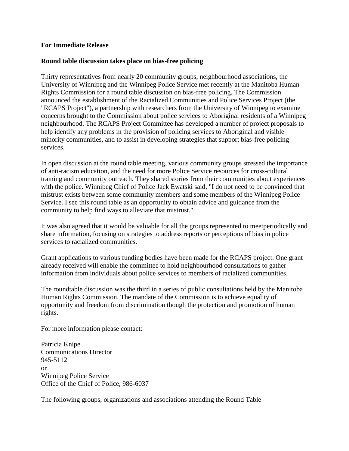#### **For Immediate Release**

#### **Round table discussion takes place on bias-free policing**

Thirty representatives from nearly 20 community groups, neighbourhood associations, the University of Winnipeg and the Winnipeg Police Service met recently at the Manitoba Human Rights Commission for a round table discussion on bias-free policing. The Commission announced the establishment of the Racialized Communities and Police Services Project (the "RCAPS Project"), a partnership with researchers from the University of Winnipeg to examine concerns brought to the Commission about police services to Aboriginal residents of a Winnipeg neighbourhood. The RCAPS Project Committee has developed a number of project proposals to help identify any problems in the provision of policing services to Aboriginal and visible minority communities, and to assist in developing strategies that support bias-free policing services.

In open discussion at the round table meeting, various community groups stressed the importance of anti-racism education, and the need for more Police Service resources for cross-cultural training and community outreach. They shared stories from their communities about experiences with the police. Winnipeg Chief of Police Jack Ewatski said, "I do not need to be convinced that mistrust exists between some community members and some members of the Winnipeg Police Service. I see this round table as an opportunity to obtain advice and guidance from the community to help find ways to alleviate that mistrust."

It was also agreed that it would be valuable for all the groups represented to meetperiodically and share information, focusing on strategies to address reports or perceptions of bias in police services to racialized communities.

Grant applications to various funding bodies have been made for the RCAPS project. One grant already received will enable the committee to hold neighbourhood consultations to gather information from individuals about police services to members of racialized communities.

The roundtable discussion was the third in a series of public consultations held by the Manitoba Human Rights Commission. The mandate of the Commission is to achieve equality of opportunity and freedom from discrimination though the protection and promotion of human rights.

For more information please contact:

Patricia Knipe Communications Director 945-5112 or Winnipeg Police Service Office of the Chief of Police, 986-6037

The following groups, organizations and associations attending the Round Table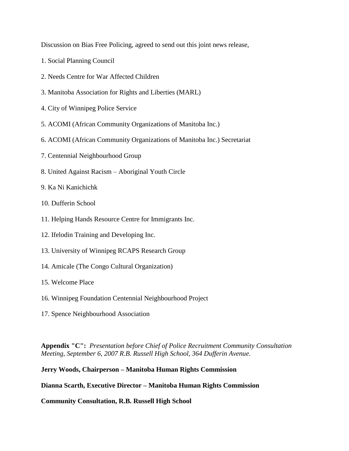Discussion on Bias Free Policing, agreed to send out this joint news release,

- 1. Social Planning Council
- 2. Needs Centre for War Affected Children
- 3. Manitoba Association for Rights and Liberties (MARL)
- 4. City of Winnipeg Police Service
- 5. ACOMI (African Community Organizations of Manitoba Inc.)
- 6. ACOMI (African Community Organizations of Manitoba Inc.) Secretariat
- 7. Centennial Neighbourhood Group
- 8. United Against Racism Aboriginal Youth Circle
- 9. Ka Ni Kanichichk
- 10. Dufferin School
- 11. Helping Hands Resource Centre for Immigrants Inc.
- 12. Ifelodin Training and Developing Inc.
- 13. University of Winnipeg RCAPS Research Group
- 14. Amicale (The Congo Cultural Organization)
- 15. Welcome Place
- 16. Winnipeg Foundation Centennial Neighbourhood Project
- 17. Spence Neighbourhood Association

**Appendix "C":** *Presentation before Chief of Police Recruitment Community Consultation Meeting, September 6, 2007 R.B. Russell High School, 364 Dufferin Avenue.*

#### **Jerry Woods, Chairperson – Manitoba Human Rights Commission**

**Dianna Scarth, Executive Director – Manitoba Human Rights Commission** 

**Community Consultation, R.B. Russell High School**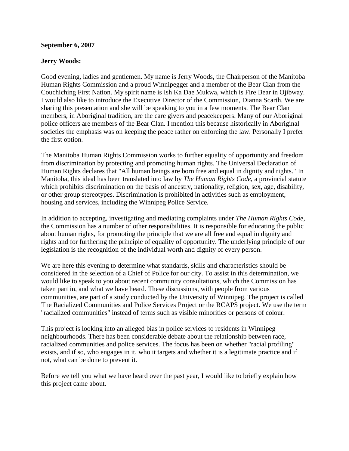#### **September 6, 2007**

#### **Jerry Woods:**

Good evening, ladies and gentlemen. My name is Jerry Woods, the Chairperson of the Manitoba Human Rights Commission and a proud Winnipegger and a member of the Bear Clan from the Couchiching First Nation. My spirit name is Ish Ka Dae Mukwa, which is Fire Bear in Ojibway. I would also like to introduce the Executive Director of the Commission, Dianna Scarth. We are sharing this presentation and she will be speaking to you in a few moments. The Bear Clan members, in Aboriginal tradition, are the care givers and peacekeepers. Many of our Aboriginal police officers are members of the Bear Clan. I mention this because historically in Aboriginal societies the emphasis was on keeping the peace rather on enforcing the law. Personally I prefer the first option.

The Manitoba Human Rights Commission works to further equality of opportunity and freedom from discrimination by protecting and promoting human rights. The Universal Declaration of Human Rights declares that "All human beings are born free and equal in dignity and rights." In Manitoba, this ideal has been translated into law by *The Human Rights Code*, a provincial statute which prohibits discrimination on the basis of ancestry, nationality, religion, sex, age, disability, or other group stereotypes. Discrimination is prohibited in activities such as employment, housing and services, including the Winnipeg Police Service.

In addition to accepting, investigating and mediating complaints under *The Human Rights Code*, the Commission has a number of other responsibilities. It is responsible for educating the public about human rights, for promoting the principle that we are all free and equal in dignity and rights and for furthering the principle of equality of opportunity. The underlying principle of our legislation is the recognition of the individual worth and dignity of every person.

We are here this evening to determine what standards, skills and characteristics should be considered in the selection of a Chief of Police for our city. To assist in this determination, we would like to speak to you about recent community consultations, which the Commission has taken part in, and what we have heard. These discussions, with people from various communities, are part of a study conducted by the University of Winnipeg. The project is called The Racialized Communities and Police Services Project or the RCAPS project. We use the term "racialized communities" instead of terms such as visible minorities or persons of colour.

This project is looking into an alleged bias in police services to residents in Winnipeg neighbourhoods. There has been considerable debate about the relationship between race, racialized communities and police services. The focus has been on whether "racial profiling" exists, and if so, who engages in it, who it targets and whether it is a legitimate practice and if not, what can be done to prevent it.

Before we tell you what we have heard over the past year, I would like to briefly explain how this project came about.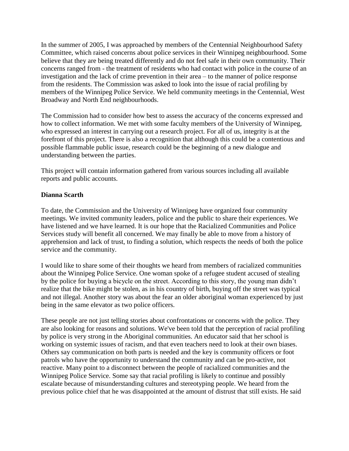In the summer of 2005, I was approached by members of the Centennial Neighbourhood Safety Committee, which raised concerns about police services in their Winnipeg neighbourhood. Some believe that they are being treated differently and do not feel safe in their own community. Their concerns ranged from - the treatment of residents who had contact with police in the course of an investigation and the lack of crime prevention in their area – to the manner of police response from the residents. The Commission was asked to look into the issue of racial profiling by members of the Winnipeg Police Service. We held community meetings in the Centennial, West Broadway and North End neighbourhoods.

The Commission had to consider how best to assess the accuracy of the concerns expressed and how to collect information. We met with some faculty members of the University of Winnipeg, who expressed an interest in carrying out a research project. For all of us, integrity is at the forefront of this project. There is also a recognition that although this could be a contentious and possible flammable public issue, research could be the beginning of a new dialogue and understanding between the parties.

This project will contain information gathered from various sources including all available reports and public accounts.

#### **Dianna Scarth**

To date, the Commission and the University of Winnipeg have organized four community meetings. We invited community leaders, police and the public to share their experiences. We have listened and we have learned. It is our hope that the Racialized Communities and Police Services study will benefit all concerned. We may finally be able to move from a history of apprehension and lack of trust, to finding a solution, which respects the needs of both the police service and the community.

I would like to share some of their thoughts we heard from members of racialized communities about the Winnipeg Police Service. One woman spoke of a refugee student accused of stealing by the police for buying a bicycle on the street. According to this story, the young man didn't realize that the bike might be stolen, as in his country of birth, buying off the street was typical and not illegal. Another story was about the fear an older aboriginal woman experienced by just being in the same elevator as two police officers.

These people are not just telling stories about confrontations or concerns with the police. They are also looking for reasons and solutions. We've been told that the perception of racial profiling by police is very strong in the Aboriginal communities. An educator said that her school is working on systemic issues of racism, and that even teachers need to look at their own biases. Others say communication on both parts is needed and the key is community officers or foot patrols who have the opportunity to understand the community and can be pro-active, not reactive. Many point to a disconnect between the people of racialized communities and the Winnipeg Police Service. Some say that racial profiling is likely to continue and possibly escalate because of misunderstanding cultures and stereotyping people. We heard from the previous police chief that he was disappointed at the amount of distrust that still exists. He said